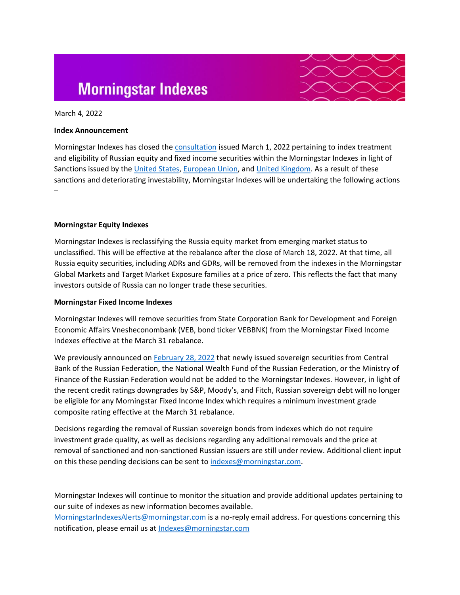# **Morningstar Indexes**



### March 4, 2022

### **Index Announcement**

Morningstar Indexes has closed the [consultation](https://assets.contentstack.io/v3/assets/bltabf2a7413d5a8f05/blt9bc517bb7308bacc/621f076dc8b3694a33e1d5e1/Morningstar_Indexes_Client_Consultation_on_Treatment_of_Russian_Securities.pdf) issued March 1, 2022 pertaining to index treatment and eligibility of Russian equity and fixed income securities within the Morningstar Indexes in light of Sanctions issued by the [United States,](https://home.treasury.gov/news/press-releases/jy0608) [European Union,](https://www.consilium.europa.eu/en/policies/sanctions/restrictive-measures-ukraine-crisis/) and [United Kingdom.](https://www.gov.uk/government/publications/financial-sanctions-ukraine-sovereignty-and-territorial-integrity) As a result of these sanctions and deteriorating investability, Morningstar Indexes will be undertaking the following actions –

# **Morningstar Equity Indexes**

Morningstar Indexes is reclassifying the Russia equity market from emerging market status to unclassified. This will be effective at the rebalance after the close of March 18, 2022. At that time, all Russia equity securities, including ADRs and GDRs, will be removed from the indexes in the Morningstar Global Markets and Target Market Exposure families at a price of zero. This reflects the fact that many investors outside of Russia can no longer trade these securities.

#### **Morningstar Fixed Income Indexes**

Morningstar Indexes will remove securities from State Corporation Bank for Development and Foreign Economic Affairs Vnesheconombank (VEB, bond ticker VEBBNK) from the Morningstar Fixed Income Indexes effective at the March 31 rebalance.

We previously announced on [February 28, 2022](https://assets.contentstack.io/v3/assets/bltabf2a7413d5a8f05/blt8b45213eb69eff01/621d94162f7a0b2e3f26c468/OFAC_Russia-related_Directives_issued_on_February_22nd_2022.pdf) that newly issued sovereign securities from Central Bank of the Russian Federation, the National Wealth Fund of the Russian Federation, or the Ministry of Finance of the Russian Federation would not be added to the Morningstar Indexes. However, in light of the recent credit ratings downgrades by S&P, Moody's, and Fitch, Russian sovereign debt will no longer be eligible for any Morningstar Fixed Income Index which requires a minimum investment grade composite rating effective at the March 31 rebalance.

Decisions regarding the removal of Russian sovereign bonds from indexes which do not require investment grade quality, as well as decisions regarding any additional removals and the price at removal of sanctioned and non-sanctioned Russian issuers are still under review. Additional client input on this these pending decisions can be sent to [indexes@morningstar.com.](mailto:indexes@morningstar.com)

Morningstar Indexes will continue to monitor the situation and provide additional updates pertaining to our suite of indexes as new information becomes available.

[MorningstarIndexesAlerts@morningstar.com](mailto:MorningstarIndexesAlerts@morningstar.com) is a no-reply email address. For questions concerning this notification, please email us at [Indexes@morningstar.com](mailto:Indexes@morningstar.com)